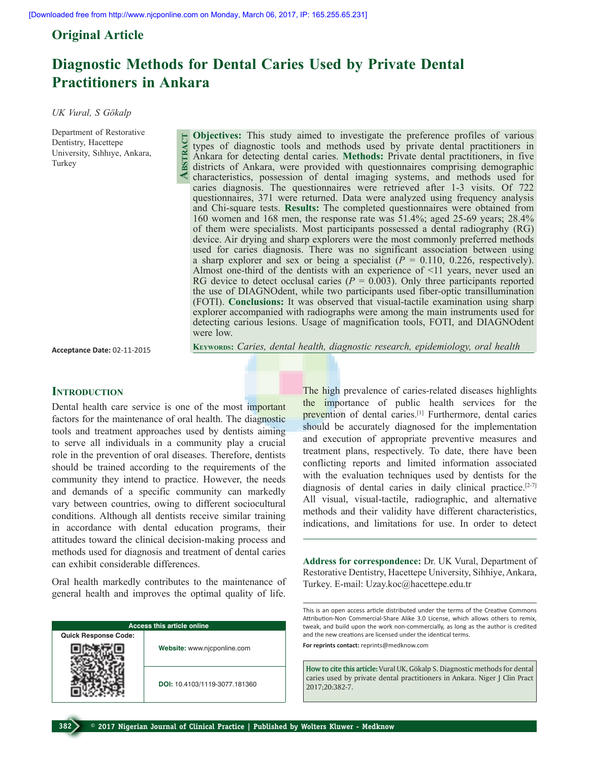**Abstract**

## **Original Article**

# **Diagnostic Methods for Dental Caries Used by Private Dental Practitioners in Ankara**

*UK Vural, S Gökalp*

Department of Restorative Dentistry, Hacettepe University, Sıhhıye, Ankara, Turkey

**Objectives:** This study aimed to investigate the preference profiles of various types of diagnostic tools and methods used by private dental practitioners in Ankara for detecting dental caries. **Methods:** Private dental practitioners, in five districts of Ankara, were provided with questionnaires comprising demographic characteristics, possession of dental imaging systems, and methods used for caries diagnosis. The questionnaires were retrieved after 1-3 visits. Of 722 questionnaires, 371 were returned. Data were analyzed using frequency analysis and Chi-square tests. **Results:** The completed questionnaires were obtained from 160 women and 168 men, the response rate was 51.4%; aged 25-69 years; 28.4% of them were specialists. Most participants possessed a dental radiography (RG) device. Air drying and sharp explorers were the most commonly preferred methods used for caries diagnosis. There was no significant association between using a sharp explorer and sex or being a specialist  $(P = 0.110, 0.226,$  respectively). Almost one-third of the dentists with an experience of <11 years, never used an RG device to detect occlusal caries ( $P = 0.003$ ). Only three participants reported the use of DIAGNOdent, while two participants used fiber-optic transillumination (FOTI). **Conclusions:** It was observed that visual-tactile examination using sharp explorer accompanied with radiographs were among the main instruments used for detecting carious lesions. Usage of magnification tools, FOTI, and DIAGNOdent were low.

**Acceptance Date:** 02-11-2015

**Keywords:** *Caries, dental health, diagnostic research, epidemiology, oral health*

## **INTRODUCTION**

Dental health care service is one of the most important factors for the maintenance of oral health. The diagnostic tools and treatment approaches used by dentists aiming to serve all individuals in a community play a crucial role in the prevention of oral diseases. Therefore, dentists should be trained according to the requirements of the community they intend to practice. However, the needs and demands of a specific community can markedly vary between countries, owing to different sociocultural conditions. Although all dentists receive similar training in accordance with dental education programs, their attitudes toward the clinical decision-making process and methods used for diagnosis and treatment of dental caries can exhibit considerable differences.

Oral health markedly contributes to the maintenance of general health and improves the optimal quality of life.

| <b>Access this article online</b> |                               |  |  |  |  |  |  |
|-----------------------------------|-------------------------------|--|--|--|--|--|--|
| <b>Quick Response Code:</b>       |                               |  |  |  |  |  |  |
|                                   | Website: www.njcponline.com   |  |  |  |  |  |  |
|                                   | DOI: 10.4103/1119-3077.181360 |  |  |  |  |  |  |

The high prevalence of caries-related diseases highlights the importance of public health services for the prevention of dental caries.[1] Furthermore, dental caries should be accurately diagnosed for the implementation and execution of appropriate preventive measures and treatment plans, respectively. To date, there have been conflicting reports and limited information associated with the evaluation techniques used by dentists for the diagnosis of dental caries in daily clinical practice.[2-7] All visual, visual-tactile, radiographic, and alternative methods and their validity have different characteristics, indications, and limitations for use. In order to detect

**Address for correspondence:** Dr. UK Vural, Department of Restorative Dentistry, Hacettepe University, Sihhiye, Ankara, Turkey. E-mail: Uzay.koc@hacettepe.edu.tr

This is an open access article distributed under the terms of the Creative Commons Attribution-Non Commercial-Share Alike 3.0 License, which allows others to remix, tweak, and build upon the work non-commercially, as long as the author is credited and the new creations are licensed under the identical terms. **For reprints contact:** reprints@medknow.com

**How to cite this article:** Vural UK, Gökalp S. Diagnostic methods for dental caries used by private dental practitioners in Ankara. Niger J Clin Pract 2017;20:382-7.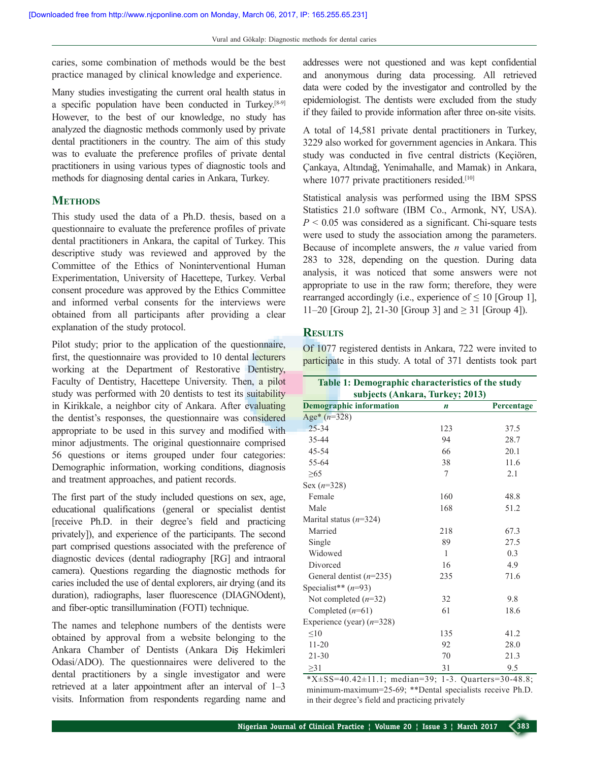caries, some combination of methods would be the best practice managed by clinical knowledge and experience.

Many studies investigating the current oral health status in a specific population have been conducted in Turkey.[8-9] However, to the best of our knowledge, no study has analyzed the diagnostic methods commonly used by private dental practitioners in the country. The aim of this study was to evaluate the preference profiles of private dental practitioners in using various types of diagnostic tools and methods for diagnosing dental caries in Ankara, Turkey.

#### **METHODS**

This study used the data of a Ph.D. thesis, based on a questionnaire to evaluate the preference profiles of private dental practitioners in Ankara, the capital of Turkey. This descriptive study was reviewed and approved by the Committee of the Ethics of Noninterventional Human Experimentation, University of Hacettepe, Turkey. Verbal consent procedure was approved by the Ethics Committee and informed verbal consents for the interviews were obtained from all participants after providing a clear explanation of the study protocol.

Pilot study; prior to the application of the questionnaire, first, the questionnaire was provided to 10 dental lecturers working at the Department of Restorative Dentistry, Faculty of Dentistry, Hacettepe University. Then, a pilot study was performed with 20 dentists to test its suitability in Kirikkale, a neighbor city of Ankara. After evaluating the dentist's responses, the questionnaire was considered appropriate to be used in this survey and modified with minor adjustments. The original questionnaire comprised 56 questions or items grouped under four categories: Demographic information, working conditions, diagnosis and treatment approaches, and patient records.

The first part of the study included questions on sex, age, educational qualifications (general or specialist dentist [receive Ph.D. in their degree's field and practicing privately]), and experience of the participants. The second part comprised questions associated with the preference of diagnostic devices (dental radiography [RG] and intraoral camera). Questions regarding the diagnostic methods for caries included the use of dental explorers, air drying (and its duration), radiographs, laser fluorescence (DIAGNOdent), and fiber-optic transillumination (FOTI) technique.

The names and telephone numbers of the dentists were obtained by approval from a website belonging to the Ankara Chamber of Dentists (Ankara Diş Hekimleri Odasi/ADO). The questionnaires were delivered to the dental practitioners by a single investigator and were retrieved at a later appointment after an interval of 1–3 visits. Information from respondents regarding name and addresses were not questioned and was kept confidential and anonymous during data processing. All retrieved data were coded by the investigator and controlled by the epidemiologist. The dentists were excluded from the study if they failed to provide information after three on-site visits.

A total of 14,581 private dental practitioners in Turkey, 3229 also worked for government agencies in Ankara. This study was conducted in five central districts (Keçiören, Çankaya, Altındağ, Yenimahalle, and Mamak) in Ankara, where 1077 private practitioners resided.<sup>[10]</sup>

Statistical analysis was performed using the IBM SPSS Statistics 21.0 software (IBM Co., Armonk, NY, USA). *P* < 0.05 was considered as a significant. Chi-square tests were used to study the association among the parameters. Because of incomplete answers, the *n* value varied from 283 to 328, depending on the question. During data analysis, it was noticed that some answers were not appropriate to use in the raw form; therefore, they were rearranged accordingly (i.e., experience of  $\leq 10$  [Group 1], 11–20 [Group 2], 21-30 [Group 3] and  $\geq$  31 [Group 4]).

### **Results**

Of 1077 registered dentists in Ankara, 722 were invited to participate in this study. A total of 371 dentists took part

| Table 1: Demographic characteristics of the study |                  |            |  |  |  |  |  |  |  |
|---------------------------------------------------|------------------|------------|--|--|--|--|--|--|--|
| subjects (Ankara, Turkey; 2013)                   |                  |            |  |  |  |  |  |  |  |
| <b>Demographic information</b>                    | $\boldsymbol{n}$ | Percentage |  |  |  |  |  |  |  |
| Age* $(n=328)$                                    |                  |            |  |  |  |  |  |  |  |
| $25 - 34$                                         | 123              | 37.5       |  |  |  |  |  |  |  |
| 35-44                                             | 94               | 28.7       |  |  |  |  |  |  |  |
| 45-54                                             | 66               | 20.1       |  |  |  |  |  |  |  |
| 55-64                                             | 38               | 11.6       |  |  |  |  |  |  |  |
| >65                                               | 7                | 2.1        |  |  |  |  |  |  |  |
| Sex $(n=328)$                                     |                  |            |  |  |  |  |  |  |  |
| Female                                            | 160              | 48.8       |  |  |  |  |  |  |  |
| Male                                              | 168              | 51.2       |  |  |  |  |  |  |  |
| Marital status $(n=324)$                          |                  |            |  |  |  |  |  |  |  |
| Married                                           | 218              | 67.3       |  |  |  |  |  |  |  |
| Single                                            | 89               | 27.5       |  |  |  |  |  |  |  |
| Widowed                                           | 1                | 0.3        |  |  |  |  |  |  |  |
| Divorced                                          | 16               | 4.9        |  |  |  |  |  |  |  |
| General dentist $(n=235)$                         | 235              | 71.6       |  |  |  |  |  |  |  |
| Specialist** $(n=93)$                             |                  |            |  |  |  |  |  |  |  |
| Not completed $(n=32)$                            | 32               | 9.8        |  |  |  |  |  |  |  |
| Completed $(n=61)$                                | 61               | 18.6       |  |  |  |  |  |  |  |
| Experience (year) $(n=328)$                       |                  |            |  |  |  |  |  |  |  |
| <10                                               | 135              | 41.2       |  |  |  |  |  |  |  |
| $11 - 20$                                         | 92               | 28.0       |  |  |  |  |  |  |  |
| $21 - 30$                                         | 70               | 21.3       |  |  |  |  |  |  |  |
| >31                                               | 31               | 9.5        |  |  |  |  |  |  |  |

 $*X\pm SS=40.42\pm 11.1$ ; median=39; 1-3. Quarters=30-48.8; minimum-maximum=25-69; \*\*Dental specialists receive Ph.D. in their degree's field and practicing privately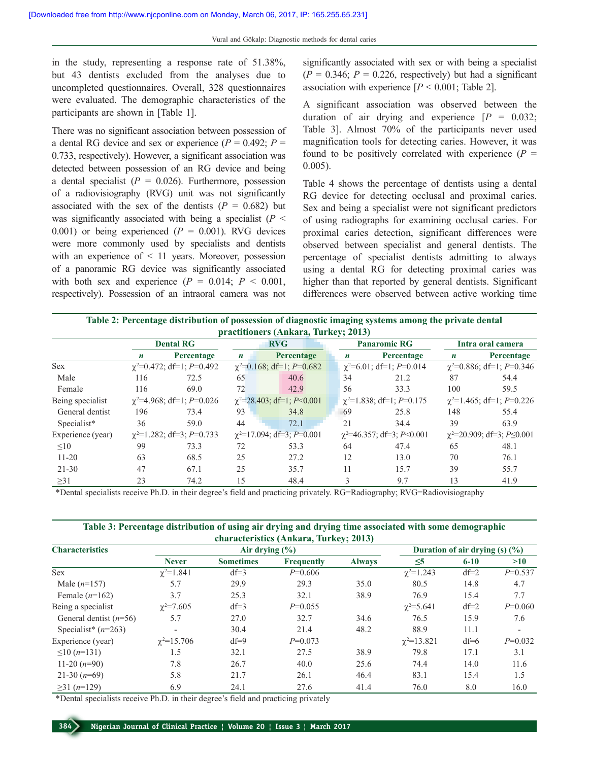in the study, representing a response rate of 51.38%, but 43 dentists excluded from the analyses due to uncompleted questionnaires. Overall, 328 questionnaires were evaluated. The demographic characteristics of the participants are shown in [Table 1].

There was no significant association between possession of a dental RG device and sex or experience  $(P = 0.492; P =$ 0.733, respectively). However, a significant association was detected between possession of an RG device and being a dental specialist  $(P = 0.026)$ . Furthermore, possession of a radiovisiography (RVG) unit was not significantly associated with the sex of the dentists  $(P = 0.682)$  but was significantly associated with being a specialist  $(P \leq$ 0.001) or being experienced  $(P = 0.001)$ . RVG devices were more commonly used by specialists and dentists with an experience of  $\leq$  11 years. Moreover, possession of a panoramic RG device was significantly associated with both sex and experience  $(P = 0.014; P < 0.001$ , respectively). Possession of an intraoral camera was not significantly associated with sex or with being a specialist  $(P = 0.346; P = 0.226$ , respectively) but had a significant association with experience  $[P \le 0.001]$ ; Table 2].

A significant association was observed between the duration of air drying and experience  $[P = 0.032]$ ; Table 3]. Almost 70% of the participants never used magnification tools for detecting caries. However, it was found to be positively correlated with experience  $(P =$ 0.005).

Table 4 shows the percentage of dentists using a dental RG device for detecting occlusal and proximal caries. Sex and being a specialist were not significant predictors of using radiographs for examining occlusal caries. For proximal caries detection, significant differences were observed between specialist and general dentists. The percentage of specialist dentists admitting to always using a dental RG for detecting proximal caries was higher than that reported by general dentists. Significant differences were observed between active working time

|                   |     |                                    |                                     | Table 2: Percentage distribution of possession of diagnostic imaging systems among the private dental |                  |                                   |                   |                                      |  |
|-------------------|-----|------------------------------------|-------------------------------------|-------------------------------------------------------------------------------------------------------|------------------|-----------------------------------|-------------------|--------------------------------------|--|
|                   |     |                                    |                                     | practitioners (Ankara, Turkey; 2013)                                                                  |                  |                                   |                   |                                      |  |
|                   |     | <b>Dental RG</b>                   | <b>RVG</b>                          |                                                                                                       |                  | <b>Panaromic RG</b>               | Intra oral camera |                                      |  |
|                   | n   | Percentage                         | Percentage<br>$\boldsymbol{n}$      |                                                                                                       | $\boldsymbol{n}$ | Percentage                        |                   | Percentage                           |  |
| <b>Sex</b>        |     | $\gamma^2$ =0.472; df=1; P=0.492   |                                     | $\chi^2$ =0.168; df=1; P=0.682                                                                        |                  | $\chi^2$ =6.01; df=1; P=0.014     |                   | $\gamma^2$ =0.886; df=1; P=0.346     |  |
| Male              | 116 | 72.5                               | 65                                  | 40.6                                                                                                  | 34               | 21.2                              | 87                | 54.4                                 |  |
| Female            | 116 | 69.0                               | 72                                  | 42.9                                                                                                  | 56               | 33.3                              | 100               | 59.5                                 |  |
| Being specialist  |     | $\gamma^2 = 4.968$ ; df=1; P=0.026 | $\gamma^2 = 28.403$ ; df=1; P<0.001 |                                                                                                       |                  | $\gamma^2$ =1.838; df=1; P=0.175  |                   | $\gamma^2$ =1.465; df=1; P=0.226     |  |
| General dentist   | 196 | 73.4                               | 93                                  | 34.8                                                                                                  | 69               | 25.8                              | 148               | 55.4                                 |  |
| Specialist*       | 36  | 59.0                               | 44                                  | 72.1                                                                                                  | 21               | 34.4                              | 39                | 63.9                                 |  |
| Experience (year) |     | $\chi^2$ =1.282; df=3; P=0.733     |                                     | $\gamma^2$ =17.094; df=3; P=0.001                                                                     |                  | $\gamma^2$ =46.357; df=3; P<0.001 |                   | $\gamma^2$ =20.909; df=3; P \(20.001 |  |
| $\leq 10$         | 99  | 73.3                               | 72                                  | 53.3                                                                                                  | 64               | 47.4                              | 65                | 48.1                                 |  |
| $11 - 20$         | 63  | 68.5                               | 25                                  | 27.2                                                                                                  | 12               | 13.0                              | 70                | 76.1                                 |  |
| $21 - 30$         | 47  | 67.1                               | 25                                  | 35.7                                                                                                  | 11               | 15.7                              | 39                | 55.7                                 |  |
| $\geq$ 31         | 23  | 74.2                               | 15                                  | 48.4                                                                                                  | 3                | 9.7                               | 13                | 41.9                                 |  |

\*Dental specialists receive Ph.D. in their degree's field and practicing privately. RG=Radiography; RVG=Radiovisiography

| Table 3: Percentage distribution of using air drying and drying time associated with some demographic |
|-------------------------------------------------------------------------------------------------------|
| characteristics (Ankara, Turkey; 2013)                                                                |

|                                   |                          |                    | $\frac{1}{2}$                                |               |                    |          |                          |
|-----------------------------------|--------------------------|--------------------|----------------------------------------------|---------------|--------------------|----------|--------------------------|
| <b>Characteristics</b>            |                          | Air drying $(\% )$ | Duration of air drying $(s)$ $(\frac{9}{6})$ |               |                    |          |                          |
|                                   | <b>Never</b>             | <b>Sometimes</b>   | <b>Frequently</b>                            | <b>Always</b> | $\leq$ 5           | $6 - 10$ | >10                      |
| <b>Sex</b>                        | $\chi^2 = 1.841$         | $df=3$             | $P=0.606$                                    |               | $\gamma^2 = 1.243$ | $df=2$   | $P=0.537$                |
| Male $(n=157)$                    | 5.7                      | 29.9               | 29.3                                         | 35.0          | 80.5               | 14.8     | 4.7                      |
| Female $(n=162)$                  | 3.7                      | 25.3               | 32.1                                         | 38.9          | 76.9               | 15.4     | 7.7                      |
| Being a specialist                | $\chi^2 = 7.605$         | $df=3$             | $P=0.055$                                    |               | $\gamma^2 = 5.641$ | $df=2$   | $P=0.060$                |
| General dentist $(n=56)$          | 5.7                      | 27.0               | 32.7                                         | 34.6          | 76.5               | 15.9     | 7.6                      |
| Specialist <sup>*</sup> $(n=263)$ | $\overline{\phantom{0}}$ | 30.4               | 21.4                                         | 48.2          | 88.9               | 11.1     | $\overline{\phantom{0}}$ |
| Experience (year)                 | $\gamma^2 = 15.706$      | $df=9$             | $P=0.073$                                    |               | $\chi^2 = 13.821$  | $df=6$   | $P=0.032$                |
| $\leq 10$ (n=131)                 | 1.5                      | 32.1               | 27.5                                         | 38.9          | 79.8               | 17.1     | 3.1                      |
| 11-20 $(n=90)$                    | 7.8                      | 26.7               | 40.0                                         | 25.6          | 74.4               | 14.0     | 11.6                     |
| 21-30 $(n=69)$                    | 5.8                      | 21.7               | 26.1                                         | 46.4          | 83.1               | 15.4     | 1.5                      |
| $\geq$ 31 ( <i>n</i> =129)        | 6.9                      | 24.1               | 27.6                                         | 41.4          | 76.0               | 8.0      | 16.0                     |

\*Dental specialists receive Ph.D. in their degree's field and practicing privately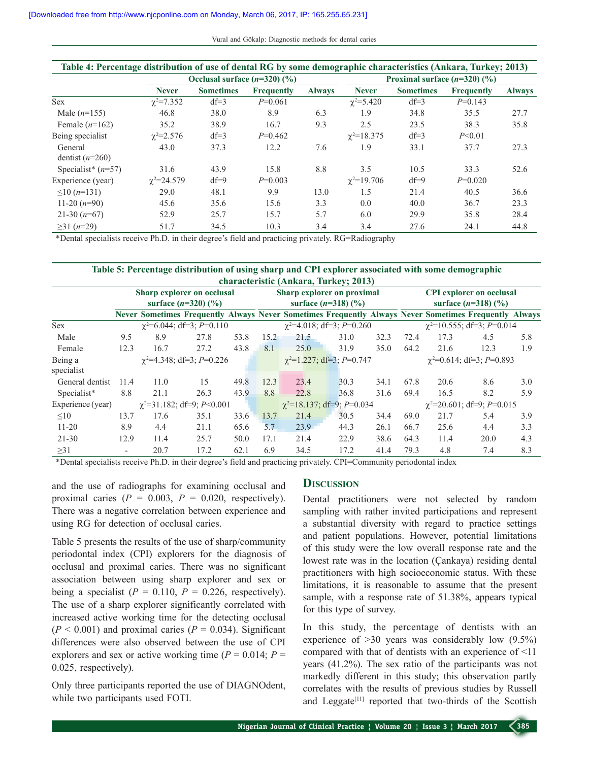| Table 4: Percentage distribution of use of dental RG by some demographic characteristics (Ankara, Turkey; 2013) |                     |                                |            |                                   |                     |                  |            |               |  |
|-----------------------------------------------------------------------------------------------------------------|---------------------|--------------------------------|------------|-----------------------------------|---------------------|------------------|------------|---------------|--|
|                                                                                                                 |                     | Occlusal surface $(n=320)(\%)$ |            | Proximal surface $(n=320)$ $(\%)$ |                     |                  |            |               |  |
|                                                                                                                 | <b>Never</b>        | <b>Sometimes</b>               | Frequently | <b>Always</b>                     | <b>Never</b>        | <b>Sometimes</b> | Frequently | <b>Always</b> |  |
| <b>Sex</b>                                                                                                      | $\chi^2 = 7.352$    | $df=3$                         | $P=0.061$  |                                   | $\gamma^2 = 5.420$  | $df=3$           | $P=0.143$  |               |  |
| Male $(n=155)$                                                                                                  | 46.8                | 38.0                           | 8.9        | 6.3                               | 1.9                 | 34.8             | 35.5       | 27.7          |  |
| Female $(n=162)$                                                                                                | 35.2                | 38.9                           | 16.7       | 9.3                               | 2.5                 | 23.5             | 38.3       | 35.8          |  |
| Being specialist                                                                                                | $\chi^2 = 2.576$    | $df=3$                         | $P=0.462$  |                                   | $\chi^2 = 18.375$   | $df=3$           | P<0.01     |               |  |
| General<br>dentist $(n=260)$                                                                                    | 43.0                | 37.3                           | 12.2       | 7.6                               | 1.9                 | 33.1             | 37.7       | 27.3          |  |
| Specialist <sup>*</sup> $(n=57)$                                                                                | 31.6                | 43.9                           | 15.8       | 8.8                               | 3.5                 | 10.5             | 33.3       | 52.6          |  |
| Experience (year)                                                                                               | $\gamma^2 = 24.579$ | $df=9$                         | $P=0.003$  |                                   | $\gamma^2 = 19.706$ | $df=9$           | $P=0.020$  |               |  |
| $\leq 10$ (n=131)                                                                                               | 29.0                | 48.1                           | 9.9        | 13.0                              | 1.5                 | 21.4             | 40.5       | 36.6          |  |
| 11-20 $(n=90)$                                                                                                  | 45.6                | 35.6                           | 15.6       | 3.3                               | 0.0                 | 40.0             | 36.7       | 23.3          |  |
| $21-30(n=67)$                                                                                                   | 52.9                | 25.7                           | 15.7       | 5.7                               | 6.0                 | 29.9             | 35.8       | 28.4          |  |
| $\geq$ 31 ( <i>n</i> =29)                                                                                       | 51.7                | 34.5                           | 10.3       | 3.4                               | 3.4                 | 27.6             | 24.1       | 44.8          |  |

\*Dental specialists receive Ph.D. in their degree's field and practicing privately. RG=Radiography

#### **Table 5: Percentage distribution of using sharp and CPI explorer associated with some demographic characteristic (Ankara, Turkey; 2013)**

| $\frac{1}{2}$     |                                                         |      |                                    |      |                                                     |                                   |                                                                                                       |      |                                                             |      |                                   |     |
|-------------------|---------------------------------------------------------|------|------------------------------------|------|-----------------------------------------------------|-----------------------------------|-------------------------------------------------------------------------------------------------------|------|-------------------------------------------------------------|------|-----------------------------------|-----|
|                   | Sharp explorer on occlusal<br>surface $(n=320)$ $(\% )$ |      |                                    |      | Sharp explorer on proximal<br>surface $(n=318)(\%)$ |                                   |                                                                                                       |      | <b>CPI</b> explorer on occlusal<br>surface $(n=318)$ $(\%)$ |      |                                   |     |
|                   |                                                         |      |                                    |      |                                                     |                                   | Never Sometimes Frequently Always Never Sometimes Frequently Always Never Sometimes Frequently Always |      |                                                             |      |                                   |     |
| <b>Sex</b>        |                                                         |      | $\gamma^2 = 6.044$ ; df=3; P=0.110 |      |                                                     |                                   | $\gamma^2 = 4.018$ ; df=3; P=0.260                                                                    |      |                                                             |      | $\gamma^2$ =10.555; df=3; P=0.014 |     |
| Male              | 9.5                                                     | 8.9  | 27.8                               | 53.8 | 15.2                                                | 21.5                              | 31.0                                                                                                  | 32.3 | 72.4                                                        | 17.3 | 4.5                               | 5.8 |
| Female            | 12.3                                                    | 16.7 | 27.2                               | 43.8 | 8.1                                                 | 25.0                              | 31.9                                                                                                  | 35.0 | 64.2                                                        | 21.6 | 12.3                              | 1.9 |
| Being a           | $\chi^2$ =4.348; df=3; P=0.226                          |      |                                    |      | $\chi^2$ =1.227; df=3; P=0.747                      |                                   |                                                                                                       |      | $\chi^2$ =0.614; df=3; P=0.893                              |      |                                   |     |
| specialist        |                                                         |      |                                    |      |                                                     |                                   |                                                                                                       |      |                                                             |      |                                   |     |
| General dentist   | 11.4                                                    | 11.0 | 15                                 | 49.8 | 12.3                                                | 23.4                              | 30.3                                                                                                  | 34.1 | 67.8                                                        | 20.6 | 8.6                               | 3.0 |
| Specialist*       | 8.8                                                     | 21.1 | 26.3                               | 43.9 | 8.8                                                 | 22.8                              | 36.8                                                                                                  | 31.6 | 69.4                                                        | 16.5 | 8.2                               | 5.9 |
| Experience (year) | $\gamma^2$ =31.182; df=9; P<0.001                       |      |                                    |      |                                                     | $\gamma^2$ =18.137; df=9; P=0.034 |                                                                                                       |      | $\chi^2$ =20.601; df=9; P=0.015                             |      |                                   |     |
| $\leq 10$         | 13.7                                                    | 17.6 | 35.1                               | 33.6 | 13.7                                                | 21.4                              | 30.5                                                                                                  | 34.4 | 69.0                                                        | 21.7 | 5.4                               | 3.9 |
| $11 - 20$         | 8.9                                                     | 4.4  | 21.1                               | 65.6 | 5.7                                                 | 23.9                              | 44.3                                                                                                  | 26.1 | 66.7                                                        | 25.6 | 4.4                               | 3.3 |
| $21 - 30$         | 12.9                                                    | 11.4 | 25.7                               | 50.0 | 17.1                                                | 21.4                              | 22.9                                                                                                  | 38.6 | 64.3                                                        | 11.4 | 20.0                              | 4.3 |
| $\geq$ 31         | $\overline{\phantom{a}}$                                | 20.7 | 17.2                               | 62.1 | 6.9                                                 | 34.5                              | 17.2                                                                                                  | 41.4 | 79.3                                                        | 4.8  | 7.4                               | 8.3 |

\*Dental specialists receive Ph.D. in their degree's field and practicing privately. CPI=Community periodontal index

and the use of radiographs for examining occlusal and proximal caries  $(P = 0.003, P = 0.020, \text{ respectively})$ . There was a negative correlation between experience and using RG for detection of occlusal caries.

Table 5 presents the results of the use of sharp/community periodontal index (CPI) explorers for the diagnosis of occlusal and proximal caries. There was no significant association between using sharp explorer and sex or being a specialist  $(P = 0.110, P = 0.226,$  respectively). The use of a sharp explorer significantly correlated with increased active working time for the detecting occlusal  $(P < 0.001)$  and proximal caries  $(P = 0.034)$ . Significant differences were also observed between the use of CPI explorers and sex or active working time  $(P = 0.014; P = 0.014)$ 0.025, respectively).

Only three participants reported the use of DIAGNOdent, while two participants used FOTI.

#### **Discussion**

Dental practitioners were not selected by random sampling with rather invited participations and represent a substantial diversity with regard to practice settings and patient populations. However, potential limitations of this study were the low overall response rate and the lowest rate was in the location (Çankaya) residing dental practitioners with high socioeconomic status. With these limitations, it is reasonable to assume that the present sample, with a response rate of 51.38%, appears typical for this type of survey.

In this study, the percentage of dentists with an experience of >30 years was considerably low (9.5%) compared with that of dentists with an experience of <11 years (41.2%). The sex ratio of the participants was not markedly different in this study; this observation partly correlates with the results of previous studies by Russell and Leggate<sup>[11]</sup> reported that two-thirds of the Scottish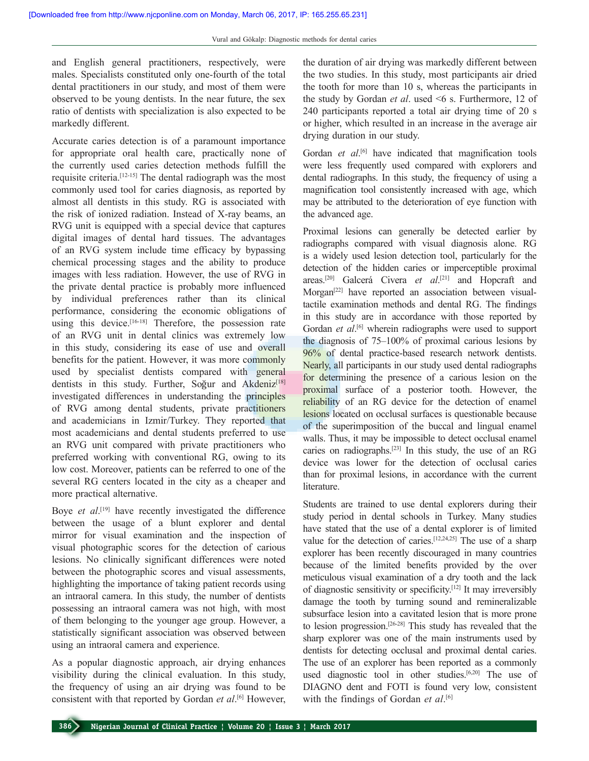and English general practitioners, respectively, were males. Specialists constituted only one-fourth of the total dental practitioners in our study, and most of them were observed to be young dentists. In the near future, the sex ratio of dentists with specialization is also expected to be markedly different.

Accurate caries detection is of a paramount importance for appropriate oral health care, practically none of the currently used caries detection methods fulfill the requisite criteria.[12-15] The dental radiograph was the most commonly used tool for caries diagnosis, as reported by almost all dentists in this study. RG is associated with the risk of ionized radiation. Instead of X-ray beams, an RVG unit is equipped with a special device that captures digital images of dental hard tissues. The advantages of an RVG system include time efficacy by bypassing chemical processing stages and the ability to produce images with less radiation. However, the use of RVG in the private dental practice is probably more influenced by individual preferences rather than its clinical performance, considering the economic obligations of using this device.[16-18] Therefore, the possession rate of an RVG unit in dental clinics was extremely low in this study, considering its ease of use and overall benefits for the patient. However, it was more commonly used by specialist dentists compared with general dentists in this study. Further, Soğur and Akdeniz<sup>[18]</sup> investigated differences in understanding the principles of RVG among dental students, private practitioners and academicians in Izmir/Turkey. They reported that most academicians and dental students preferred to use an RVG unit compared with private practitioners who preferred working with conventional RG, owing to its low cost. Moreover, patients can be referred to one of the several RG centers located in the city as a cheaper and more practical alternative.

Boye *et al*.<sup>[19]</sup> have recently investigated the difference between the usage of a blunt explorer and dental mirror for visual examination and the inspection of visual photographic scores for the detection of carious lesions. No clinically significant differences were noted between the photographic scores and visual assessments, highlighting the importance of taking patient records using an intraoral camera. In this study, the number of dentists possessing an intraoral camera was not high, with most of them belonging to the younger age group. However, a statistically significant association was observed between using an intraoral camera and experience.

As a popular diagnostic approach, air drying enhances visibility during the clinical evaluation. In this study, the frequency of using an air drying was found to be consistent with that reported by Gordan *et al*. [6] However, the duration of air drying was markedly different between the two studies. In this study, most participants air dried the tooth for more than 10 s, whereas the participants in the study by Gordan *et al*. used <6 s. Furthermore, 12 of 240 participants reported a total air drying time of 20 s or higher, which resulted in an increase in the average air drying duration in our study.

Gordan *et al.*<sup>[6]</sup> have indicated that magnification tools were less frequently used compared with explorers and dental radiographs. In this study, the frequency of using a magnification tool consistently increased with age, which may be attributed to the deterioration of eye function with the advanced age.

Proximal lesions can generally be detected earlier by radiographs compared with visual diagnosis alone. RG is a widely used lesion detection tool, particularly for the detection of the hidden caries or imperceptible proximal areas.[20] Galcerá Civera *et al*. [21] and Hopcraft and Morgan<sup>[22]</sup> have reported an association between visualtactile examination methods and dental RG. The findings in this study are in accordance with those reported by Gordan *et al*.<sup>[6]</sup> wherein radiographs were used to support the diagnosis of 75–100% of proximal carious lesions by 96% of dental practice-based research network dentists. Nearly, all participants in our study used dental radiographs for determining the presence of a carious lesion on the proximal surface of a posterior tooth. However, the reliability of an RG device for the detection of enamel lesions located on occlusal surfaces is questionable because of the superimposition of the buccal and lingual enamel walls. Thus, it may be impossible to detect occlusal enamel caries on radiographs.[23] In this study, the use of an RG device was lower for the detection of occlusal caries than for proximal lesions, in accordance with the current literature.

Students are trained to use dental explorers during their study period in dental schools in Turkey. Many studies have stated that the use of a dental explorer is of limited value for the detection of caries.[12,24,25] The use of a sharp explorer has been recently discouraged in many countries because of the limited benefits provided by the over meticulous visual examination of a dry tooth and the lack of diagnostic sensitivity or specificity.[12] It may irreversibly damage the tooth by turning sound and remineralizable subsurface lesion into a cavitated lesion that is more prone to lesion progression.[26-28] This study has revealed that the sharp explorer was one of the main instruments used by dentists for detecting occlusal and proximal dental caries. The use of an explorer has been reported as a commonly used diagnostic tool in other studies.<sup>[6,20]</sup> The use of DIAGNO dent and FOTI is found very low, consistent with the findings of Gordan et al.<sup>[6]</sup>